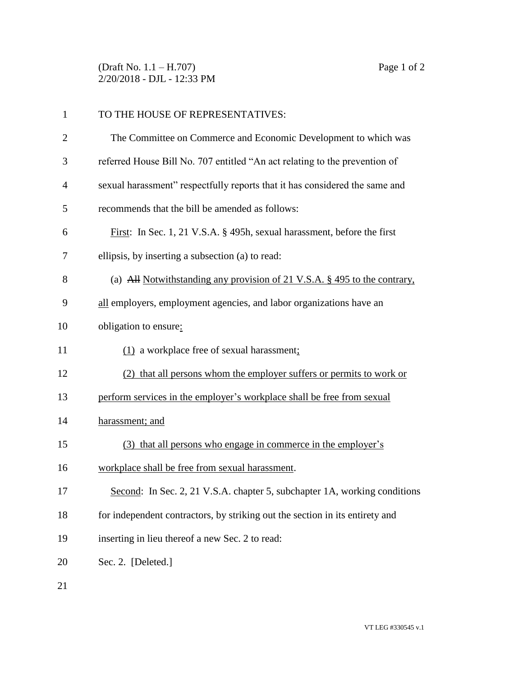(Draft No. 1.1 – H.707) Page 1 of 2 2/20/2018 - DJL - 12:33 PM

| 1  | TO THE HOUSE OF REPRESENTATIVES:                                             |
|----|------------------------------------------------------------------------------|
| 2  | The Committee on Commerce and Economic Development to which was              |
| 3  | referred House Bill No. 707 entitled "An act relating to the prevention of   |
| 4  | sexual harassment" respectfully reports that it has considered the same and  |
| 5  | recommends that the bill be amended as follows:                              |
| 6  | First: In Sec. 1, 21 V.S.A. § 495h, sexual harassment, before the first      |
| 7  | ellipsis, by inserting a subsection (a) to read:                             |
| 8  | (a) All Notwithstanding any provision of 21 V.S.A. § 495 to the contrary,    |
| 9  | all employers, employment agencies, and labor organizations have an          |
| 10 | obligation to ensure:                                                        |
| 11 | (1) a workplace free of sexual harassment;                                   |
| 12 | (2) that all persons whom the employer suffers or permits to work or         |
| 13 | perform services in the employer's workplace shall be free from sexual       |
| 14 | harassment; and                                                              |
| 15 | (3) that all persons who engage in commerce in the employer's                |
| 16 | workplace shall be free from sexual harassment.                              |
| 17 | Second: In Sec. 2, 21 V.S.A. chapter 5, subchapter 1A, working conditions    |
| 18 | for independent contractors, by striking out the section in its entirety and |
| 19 | inserting in lieu thereof a new Sec. 2 to read:                              |
| 20 | Sec. 2. [Deleted.]                                                           |
|    |                                                                              |

21